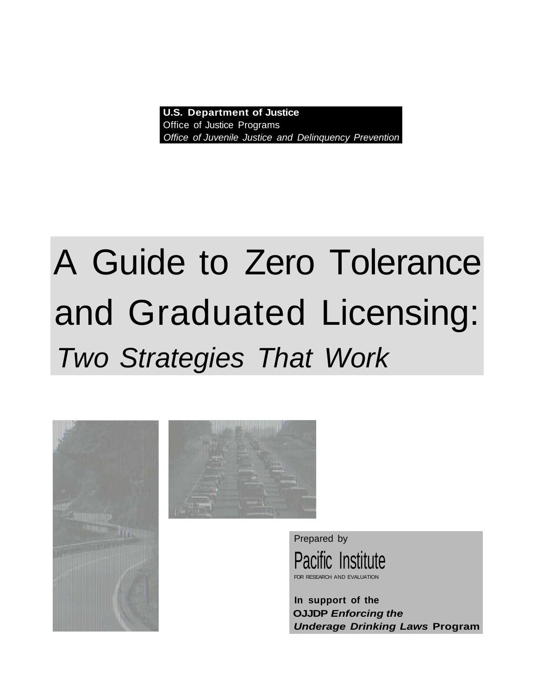**U.S. Department of Justice** Office of Justice Programs Office of Juvenile Justice and Delinquency Prevention

# A Guide to Zero Tolerance and Graduated Licensing: Two Strategies That Work





Prepared by Pacific Institute FOR RESEARCH AND EVALUATION

**In support of the OJJDP Enforcing the Underage Drinking Laws Program**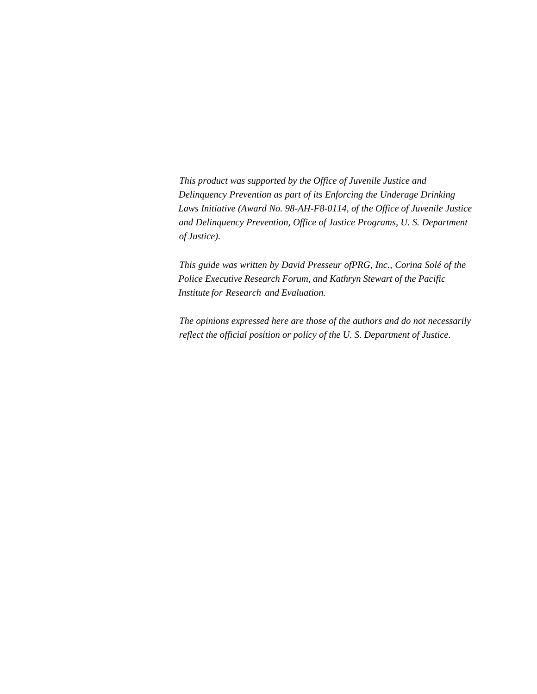*This product was supported by the Office of Juvenile Justice and Delinquency Prevention as part of its Enforcing the Underage Drinking Laws Initiative (Award No. 98-AH-F8-0114, of the Office of Juvenile Justice and Delinquency Prevention, Office of Justice Programs, U. S. Department of Justice).*

*This guide was written by David Presseur ofPRG, Inc., Corina Solé of the Police Executive Research Forum, and Kathryn Stewart of the Pacific Institute for Research and Evaluation.*

*The opinions expressed here are those of the authors and do not necessarily reflect the official position or policy of the U. S. Department of Justice.*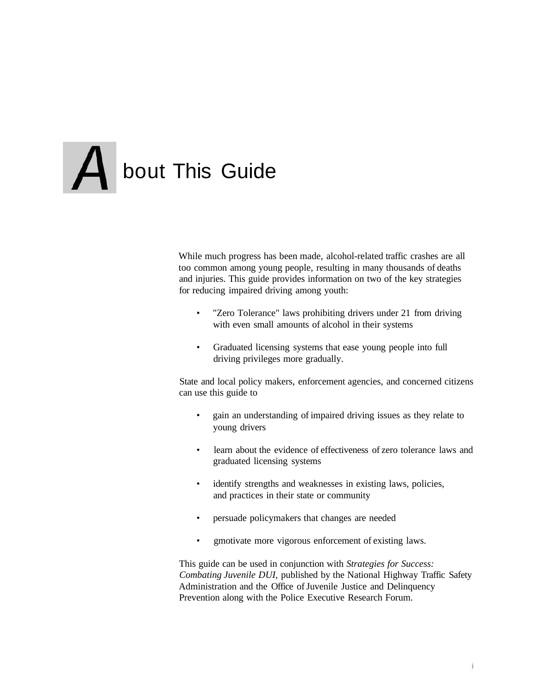# **A** bout This Guide

While much progress has been made, alcohol-related traffic crashes are all too common among young people, resulting in many thousands of deaths and injuries. This guide provides information on two of the key strategies for reducing impaired driving among youth:

- "Zero Tolerance" laws prohibiting drivers under 21 from driving with even small amounts of alcohol in their systems
- Graduated licensing systems that ease young people into full driving privileges more gradually.

State and local policy makers, enforcement agencies, and concerned citizens can use this guide to

- gain an understanding of impaired driving issues as they relate to young drivers
- learn about the evidence of effectiveness of zero tolerance laws and graduated licensing systems
- identify strengths and weaknesses in existing laws, policies, and practices in their state or community
- persuade policymakers that changes are needed
- gmotivate more vigorous enforcement of existing laws.

This guide can be used in conjunction with *Strategies for Success: Combating Juvenile DUI,* published by the National Highway Traffic Safety Administration and the Office of Juvenile Justice and Delinquency Prevention along with the Police Executive Research Forum.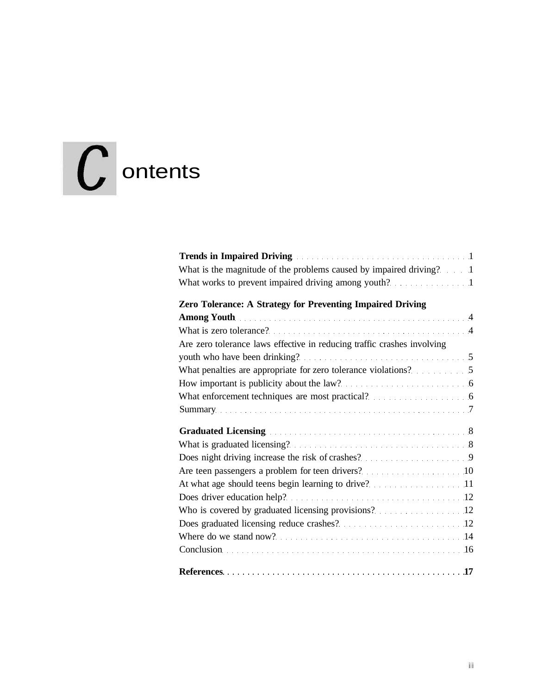# $\int$  ontents

| What is the magnitude of the problems caused by impaired driving? 1                                                                                                                                                            |
|--------------------------------------------------------------------------------------------------------------------------------------------------------------------------------------------------------------------------------|
|                                                                                                                                                                                                                                |
| Zero Tolerance: A Strategy for Preventing Impaired Driving                                                                                                                                                                     |
| Among Youth Among Youth Among Youth Among Youth Among Youth Among Youth Among Youth Among Among Among Among Among Among Among Among Among Among Among Among Among Among Among Among Among Among Among Among Among Among Among  |
|                                                                                                                                                                                                                                |
| Are zero tolerance laws effective in reducing traffic crashes involving                                                                                                                                                        |
|                                                                                                                                                                                                                                |
|                                                                                                                                                                                                                                |
| How important is publicity about the law?                                                                                                                                                                                      |
| What enforcement techniques are most practical? 6                                                                                                                                                                              |
|                                                                                                                                                                                                                                |
|                                                                                                                                                                                                                                |
| Graduated Licensing entries and the contract of the state of the state of the state of the state of the state of the state of the state of the state of the state of the state of the state of the state of the state of the s |
|                                                                                                                                                                                                                                |
|                                                                                                                                                                                                                                |
|                                                                                                                                                                                                                                |
| At what age should teens begin learning to drive? 11                                                                                                                                                                           |
|                                                                                                                                                                                                                                |
| Who is covered by graduated licensing provisions? 12                                                                                                                                                                           |
|                                                                                                                                                                                                                                |
|                                                                                                                                                                                                                                |
| Conclusion (16) Conclusion (16) and (16) and (16) and (16) and (16) and (16) and (16) and (16) and (16) and (16) and (16) and (16) and (16) and (16) and (16) and (16) and (16) and (16) and (16) and (16) and (16) and (16) a |
|                                                                                                                                                                                                                                |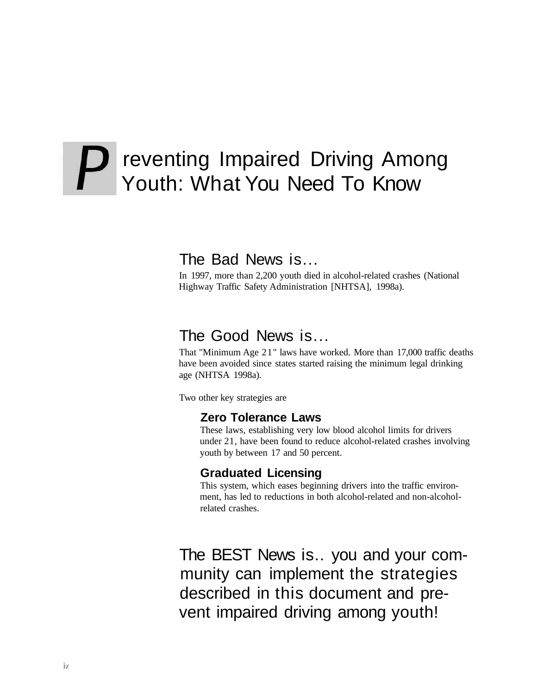# P reventing Impaired Driving Among Youth: What You Need To Know

#### The Bad News is...

In 1997, more than 2,200 youth died in alcohol-related crashes (National Highway Traffic Safety Administration [NHTSA], 1998a).

#### The Good News is...

That "Minimum Age 21" laws have worked. More than 17,000 traffic deaths have been avoided since states started raising the minimum legal drinking age (NHTSA 1998a).

Two other key strategies are

#### **Zero Tolerance Laws**

These laws, establishing very low blood alcohol limits for drivers under 21, have been found to reduce alcohol-related crashes involving youth by between 17 and 50 percent.

#### **Graduated Licensing**

This system, which eases beginning drivers into the traffic environment, has led to reductions in both alcohol-related and non-alcoholrelated crashes.

The BEST News is.. you and your community can implement the strategies described in this document and prevent impaired driving among youth!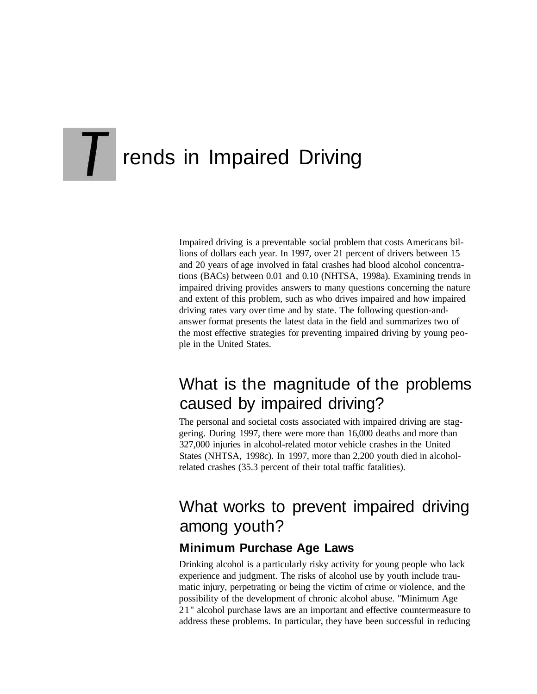# **TH** rends in Impaired Driving

Impaired driving is a preventable social problem that costs Americans billions of dollars each year. In 1997, over 21 percent of drivers between 15 and 20 years of age involved in fatal crashes had blood alcohol concentrations (BACs) between 0.01 and 0.10 (NHTSA, 1998a). Examining trends in impaired driving provides answers to many questions concerning the nature and extent of this problem, such as who drives impaired and how impaired driving rates vary over time and by state. The following question-andanswer format presents the latest data in the field and summarizes two of the most effective strategies for preventing impaired driving by young people in the United States.

# What is the magnitude of the problems caused by impaired driving?

The personal and societal costs associated with impaired driving are staggering. During 1997, there were more than 16,000 deaths and more than 327,000 injuries in alcohol-related motor vehicle crashes in the United States (NHTSA, 1998c). In 1997, more than 2,200 youth died in alcoholrelated crashes (35.3 percent of their total traffic fatalities).

# What works to prevent impaired driving among youth?

#### **Minimum Purchase Age Laws**

Drinking alcohol is a particularly risky activity for young people who lack experience and judgment. The risks of alcohol use by youth include traumatic injury, perpetrating or being the victim of crime or violence, and the possibility of the development of chronic alcohol abuse. "Minimum Age 21" alcohol purchase laws are an important and effective countermeasure to address these problems. In particular, they have been successful in reducing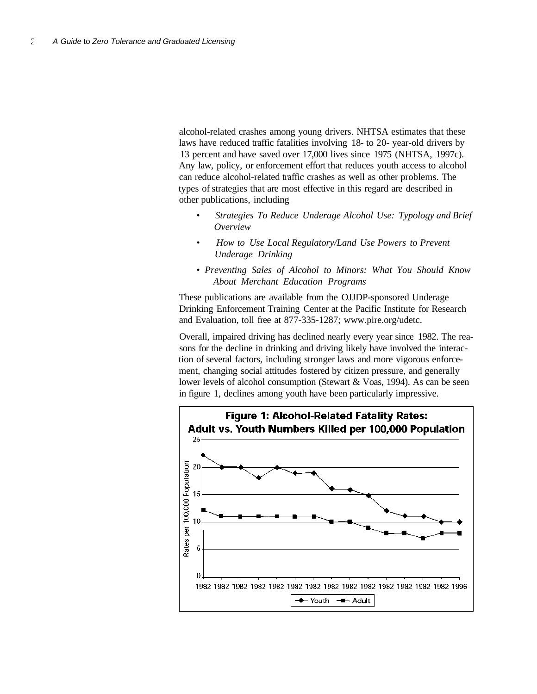alcohol-related crashes among young drivers. NHTSA estimates that these laws have reduced traffic fatalities involving 18- to 20- year-old drivers by 13 percent and have saved over 17,000 lives since 1975 (NHTSA, 1997c). Any law, policy, or enforcement effort that reduces youth access to alcohol can reduce alcohol-related traffic crashes as well as other problems. The types of strategies that are most effective in this regard are described in other publications, including

- • *Strategies To Reduce Underage Alcohol Use: Typology and Brief Overview*
- • *How to Use Local Regulatory/Land Use Powers to Prevent Underage Drinking*
- • *Preventing Sales of Alcohol to Minors: What You Should Know About Merchant Education Programs*

These publications are available from the OJJDP-sponsored Underage Drinking Enforcement Training Center at the Pacific Institute for Research and Evaluation, toll free at 877-335-1287; www.pire.org/udetc.

Overall, impaired driving has declined nearly every year since 1982. The reasons for the decline in drinking and driving likely have involved the interaction of several factors, including stronger laws and more vigorous enforcement, changing social attitudes fostered by citizen pressure, and generally lower levels of alcohol consumption (Stewart & Voas, 1994). As can be seen in figure 1, declines among youth have been particularly impressive.

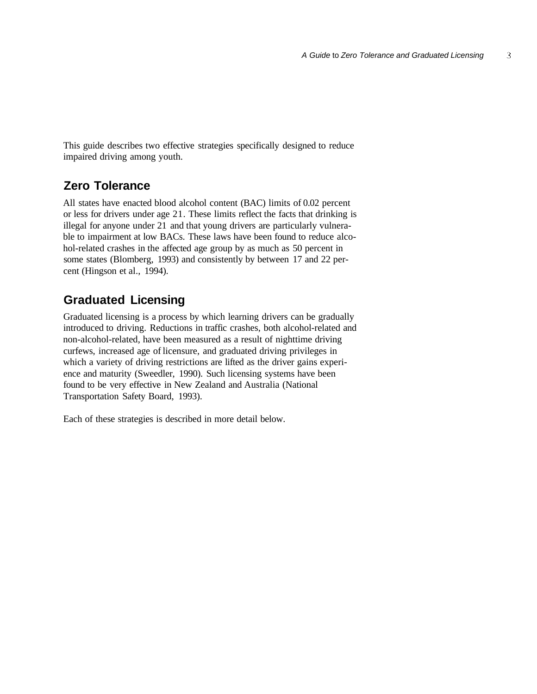This guide describes two effective strategies specifically designed to reduce impaired driving among youth.

#### **Zero Tolerance**

All states have enacted blood alcohol content (BAC) limits of 0.02 percent or less for drivers under age 21. These limits reflect the facts that drinking is illegal for anyone under 21 and that young drivers are particularly vulnerable to impairment at low BACs. These laws have been found to reduce alcohol-related crashes in the affected age group by as much as 50 percent in some states (Blomberg, 1993) and consistently by between 17 and 22 percent (Hingson et al., 1994).

#### **Graduated Licensing**

Graduated licensing is a process by which learning drivers can be gradually introduced to driving. Reductions in traffic crashes, both alcohol-related and non-alcohol-related, have been measured as a result of nighttime driving curfews, increased age of licensure, and graduated driving privileges in which a variety of driving restrictions are lifted as the driver gains experience and maturity (Sweedler, 1990). Such licensing systems have been found to be very effective in New Zealand and Australia (National Transportation Safety Board, 1993).

Each of these strategies is described in more detail below.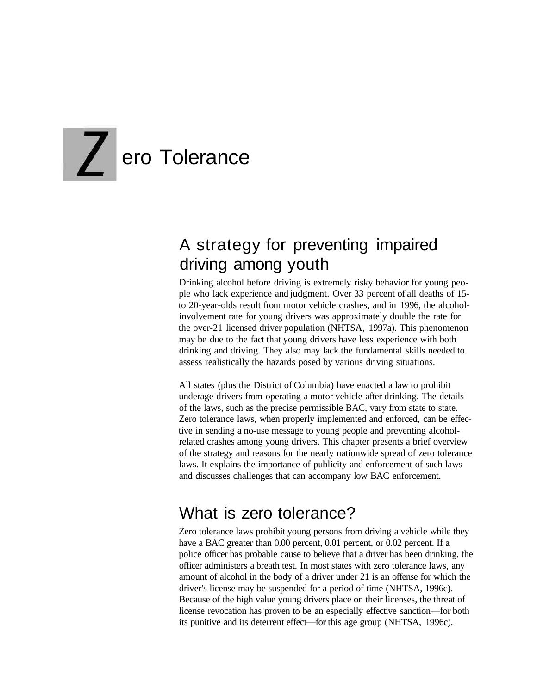# **Z**ero Tolerance

# A strategy for preventing impaired driving among youth

Drinking alcohol before driving is extremely risky behavior for young people who lack experience and judgment. Over 33 percent of all deaths of 15 to 20-year-olds result from motor vehicle crashes, and in 1996, the alcoholinvolvement rate for young drivers was approximately double the rate for the over-21 licensed driver population (NHTSA, 1997a). This phenomenon may be due to the fact that young drivers have less experience with both drinking and driving. They also may lack the fundamental skills needed to assess realistically the hazards posed by various driving situations.

All states (plus the District of Columbia) have enacted a law to prohibit underage drivers from operating a motor vehicle after drinking. The details of the laws, such as the precise permissible BAC, vary from state to state. Zero tolerance laws, when properly implemented and enforced, can be effective in sending a no-use message to young people and preventing alcoholrelated crashes among young drivers. This chapter presents a brief overview of the strategy and reasons for the nearly nationwide spread of zero tolerance laws. It explains the importance of publicity and enforcement of such laws and discusses challenges that can accompany low BAC enforcement.

### What is zero tolerance?

Zero tolerance laws prohibit young persons from driving a vehicle while they have a BAC greater than 0.00 percent, 0.01 percent, or 0.02 percent. If a police officer has probable cause to believe that a driver has been drinking, the officer administers a breath test. In most states with zero tolerance laws, any amount of alcohol in the body of a driver under 21 is an offense for which the driver's license may be suspended for a period of time (NHTSA, 1996c). Because of the high value young drivers place on their licenses, the threat of license revocation has proven to be an especially effective sanction—for both its punitive and its deterrent effect—for this age group (NHTSA, 1996c).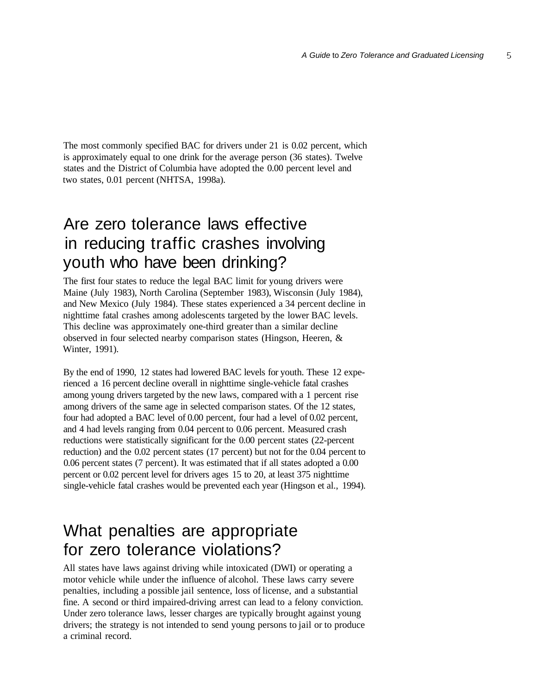The most commonly specified BAC for drivers under 21 is 0.02 percent, which is approximately equal to one drink for the average person (36 states). Twelve states and the District of Columbia have adopted the 0.00 percent level and two states, 0.01 percent (NHTSA, 1998a).

### Are zero tolerance laws effective in reducing traffic crashes involving youth who have been drinking?

The first four states to reduce the legal BAC limit for young drivers were Maine (July 1983), North Carolina (September 1983), Wisconsin (July 1984), and New Mexico (July 1984). These states experienced a 34 percent decline in nighttime fatal crashes among adolescents targeted by the lower BAC levels. This decline was approximately one-third greater than a similar decline observed in four selected nearby comparison states (Hingson, Heeren, & Winter, 1991).

By the end of 1990, 12 states had lowered BAC levels for youth. These 12 experienced a 16 percent decline overall in nighttime single-vehicle fatal crashes among young drivers targeted by the new laws, compared with a 1 percent rise among drivers of the same age in selected comparison states. Of the 12 states, four had adopted a BAC level of 0.00 percent, four had a level of 0.02 percent, and 4 had levels ranging from 0.04 percent to 0.06 percent. Measured crash reductions were statistically significant for the 0.00 percent states (22-percent reduction) and the 0.02 percent states (17 percent) but not for the 0.04 percent to 0.06 percent states (7 percent). It was estimated that if all states adopted a 0.00 percent or 0.02 percent level for drivers ages 15 to 20, at least 375 nighttime single-vehicle fatal crashes would be prevented each year (Hingson et al., 1994).

### What penalties are appropriate for zero tolerance violations?

All states have laws against driving while intoxicated (DWI) or operating a motor vehicle while under the influence of alcohol. These laws carry severe penalties, including a possible jail sentence, loss of license, and a substantial fine. A second or third impaired-driving arrest can lead to a felony conviction. Under zero tolerance laws, lesser charges are typically brought against young drivers; the strategy is not intended to send young persons to jail or to produce a criminal record.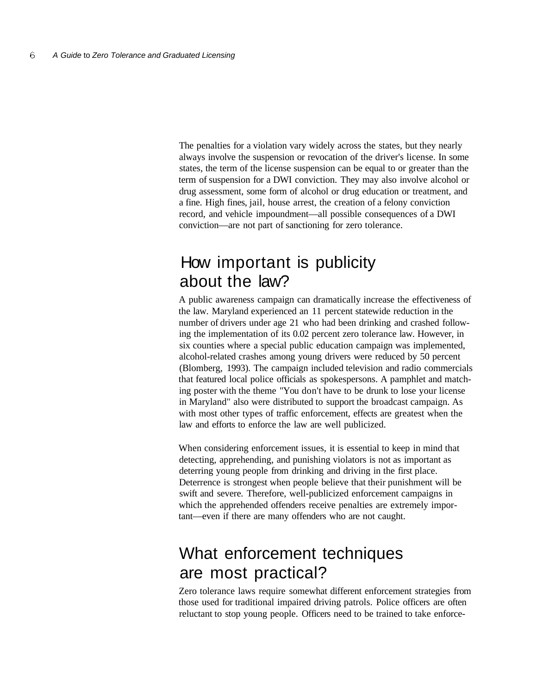The penalties for a violation vary widely across the states, but they nearly always involve the suspension or revocation of the driver's license. In some states, the term of the license suspension can be equal to or greater than the term of suspension for a DWI conviction. They may also involve alcohol or drug assessment, some form of alcohol or drug education or treatment, and a fine. High fines, jail, house arrest, the creation of a felony conviction record, and vehicle impoundment—all possible consequences of a DWI conviction—are not part of sanctioning for zero tolerance.

### How important is publicity about the law?

A public awareness campaign can dramatically increase the effectiveness of the law. Maryland experienced an 11 percent statewide reduction in the number of drivers under age 21 who had been drinking and crashed following the implementation of its 0.02 percent zero tolerance law. However, in six counties where a special public education campaign was implemented, alcohol-related crashes among young drivers were reduced by 50 percent (Blomberg, 1993). The campaign included television and radio commercials that featured local police officials as spokespersons. A pamphlet and matching poster with the theme "You don't have to be drunk to lose your license in Maryland" also were distributed to support the broadcast campaign. As with most other types of traffic enforcement, effects are greatest when the law and efforts to enforce the law are well publicized.

When considering enforcement issues, it is essential to keep in mind that detecting, apprehending, and punishing violators is not as important as deterring young people from drinking and driving in the first place. Deterrence is strongest when people believe that their punishment will be swift and severe. Therefore, well-publicized enforcement campaigns in which the apprehended offenders receive penalties are extremely important—even if there are many offenders who are not caught.

### What enforcement techniques are most practical?

Zero tolerance laws require somewhat different enforcement strategies from those used for traditional impaired driving patrols. Police officers are often reluctant to stop young people. Officers need to be trained to take enforce-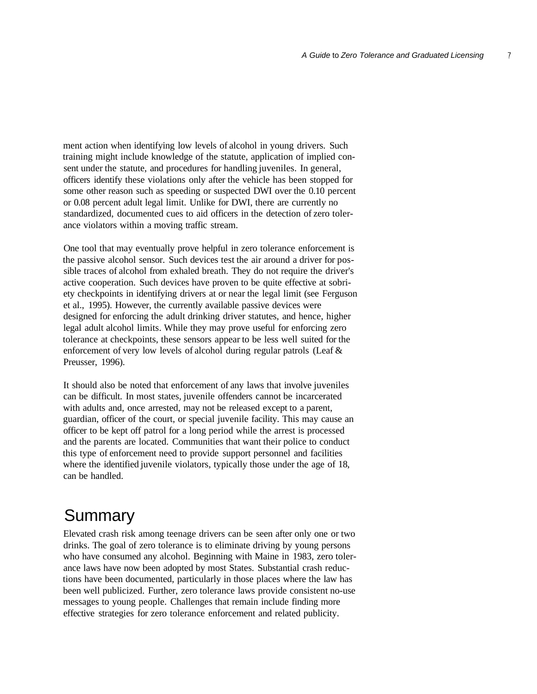$\overline{I}$ 

ment action when identifying low levels of alcohol in young drivers. Such training might include knowledge of the statute, application of implied consent under the statute, and procedures for handling juveniles. In general, officers identify these violations only after the vehicle has been stopped for some other reason such as speeding or suspected DWI over the 0.10 percent or 0.08 percent adult legal limit. Unlike for DWI, there are currently no standardized, documented cues to aid officers in the detection of zero tolerance violators within a moving traffic stream.

One tool that may eventually prove helpful in zero tolerance enforcement is the passive alcohol sensor. Such devices test the air around a driver for possible traces of alcohol from exhaled breath. They do not require the driver's active cooperation. Such devices have proven to be quite effective at sobriety checkpoints in identifying drivers at or near the legal limit (see Ferguson et al., 1995). However, the currently available passive devices were designed for enforcing the adult drinking driver statutes, and hence, higher legal adult alcohol limits. While they may prove useful for enforcing zero tolerance at checkpoints, these sensors appear to be less well suited for the enforcement of very low levels of alcohol during regular patrols (Leaf & Preusser, 1996).

It should also be noted that enforcement of any laws that involve juveniles can be difficult. In most states, juvenile offenders cannot be incarcerated with adults and, once arrested, may not be released except to a parent, guardian, officer of the court, or special juvenile facility. This may cause an officer to be kept off patrol for a long period while the arrest is processed and the parents are located. Communities that want their police to conduct this type of enforcement need to provide support personnel and facilities where the identified juvenile violators, typically those under the age of 18, can be handled.

# **Summary**

Elevated crash risk among teenage drivers can be seen after only one or two drinks. The goal of zero tolerance is to eliminate driving by young persons who have consumed any alcohol. Beginning with Maine in 1983, zero tolerance laws have now been adopted by most States. Substantial crash reductions have been documented, particularly in those places where the law has been well publicized. Further, zero tolerance laws provide consistent no-use messages to young people. Challenges that remain include finding more effective strategies for zero tolerance enforcement and related publicity.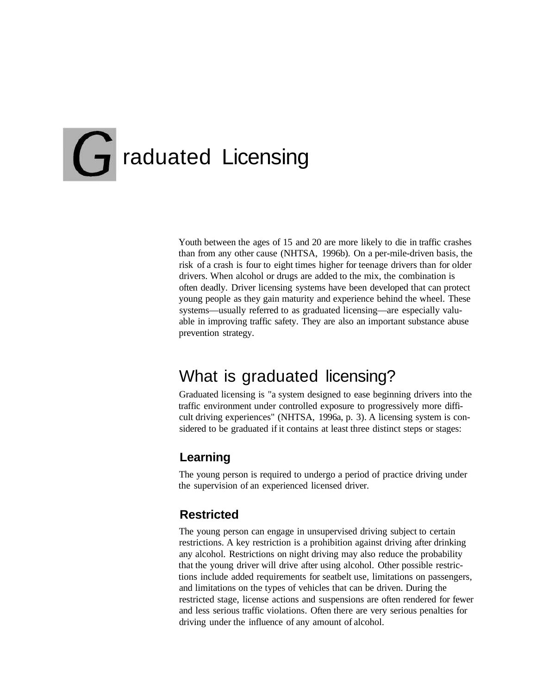# **T** raduated Licensing

Youth between the ages of 15 and 20 are more likely to die in traffic crashes than from any other cause (NHTSA, 1996b). On a per-mile-driven basis, the risk of a crash is four to eight times higher for teenage drivers than for older drivers. When alcohol or drugs are added to the mix, the combination is often deadly. Driver licensing systems have been developed that can protect young people as they gain maturity and experience behind the wheel. These systems—usually referred to as graduated licensing—are especially valuable in improving traffic safety. They are also an important substance abuse prevention strategy.

### What is graduated licensing?

Graduated licensing is "a system designed to ease beginning drivers into the traffic environment under controlled exposure to progressively more difficult driving experiences" (NHTSA, 1996a, p. 3). A licensing system is considered to be graduated if it contains at least three distinct steps or stages:

#### **Learning**

The young person is required to undergo a period of practice driving under the supervision of an experienced licensed driver.

#### **Restricted**

The young person can engage in unsupervised driving subject to certain restrictions. A key restriction is a prohibition against driving after drinking any alcohol. Restrictions on night driving may also reduce the probability that the young driver will drive after using alcohol. Other possible restrictions include added requirements for seatbelt use, limitations on passengers, and limitations on the types of vehicles that can be driven. During the restricted stage, license actions and suspensions are often rendered for fewer and less serious traffic violations. Often there are very serious penalties for driving under the influence of any amount of alcohol.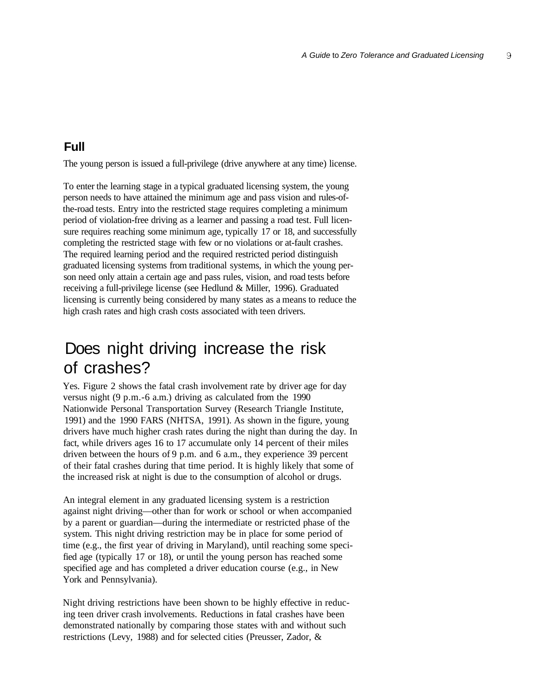#### **Full**

The young person is issued a full-privilege (drive anywhere at any time) license.

To enter the learning stage in a typical graduated licensing system, the young person needs to have attained the minimum age and pass vision and rules-ofthe-road tests. Entry into the restricted stage requires completing a minimum period of violation-free driving as a learner and passing a road test. Full licensure requires reaching some minimum age, typically 17 or 18, and successfully completing the restricted stage with few or no violations or at-fault crashes. The required learning period and the required restricted period distinguish graduated licensing systems from traditional systems, in which the young person need only attain a certain age and pass rules, vision, and road tests before receiving a full-privilege license (see Hedlund & Miller, 1996). Graduated licensing is currently being considered by many states as a means to reduce the high crash rates and high crash costs associated with teen drivers.

#### Does night driving increase the risk of crashes?

Yes. Figure 2 shows the fatal crash involvement rate by driver age for day versus night (9 p.m.-6 a.m.) driving as calculated from the 1990 Nationwide Personal Transportation Survey (Research Triangle Institute, 1991) and the 1990 FARS (NHTSA, 1991). As shown in the figure, young drivers have much higher crash rates during the night than during the day. In fact, while drivers ages 16 to 17 accumulate only 14 percent of their miles driven between the hours of 9 p.m. and 6 a.m., they experience 39 percent of their fatal crashes during that time period. It is highly likely that some of the increased risk at night is due to the consumption of alcohol or drugs.

An integral element in any graduated licensing system is a restriction against night driving—other than for work or school or when accompanied by a parent or guardian—during the intermediate or restricted phase of the system. This night driving restriction may be in place for some period of time (e.g., the first year of driving in Maryland), until reaching some specified age (typically 17 or 18), or until the young person has reached some specified age and has completed a driver education course (e.g., in New York and Pennsylvania).

Night driving restrictions have been shown to be highly effective in reducing teen driver crash involvements. Reductions in fatal crashes have been demonstrated nationally by comparing those states with and without such restrictions (Levy, 1988) and for selected cities (Preusser, Zador, &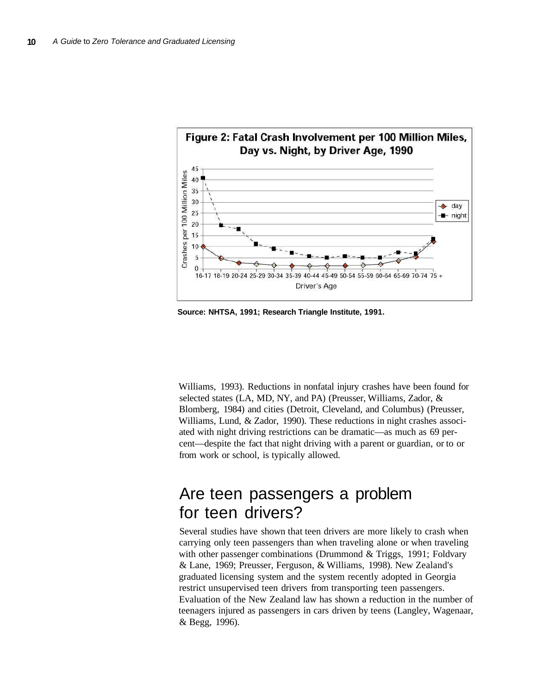

**Source: NHTSA, 1991; Research Triangle Institute, 1991.**

Williams, 1993). Reductions in nonfatal injury crashes have been found for selected states (LA, MD, NY, and PA) (Preusser, Williams, Zador, & Blomberg, 1984) and cities (Detroit, Cleveland, and Columbus) (Preusser, Williams, Lund, & Zador, 1990). These reductions in night crashes associated with night driving restrictions can be dramatic—as much as 69 percent—despite the fact that night driving with a parent or guardian, or to or from work or school, is typically allowed.

#### Are teen passengers a problem for teen drivers?

Several studies have shown that teen drivers are more likely to crash when carrying only teen passengers than when traveling alone or when traveling with other passenger combinations (Drummond & Triggs, 1991; Foldvary & Lane, 1969; Preusser, Ferguson, & Williams, 1998). New Zealand's graduated licensing system and the system recently adopted in Georgia restrict unsupervised teen drivers from transporting teen passengers. Evaluation of the New Zealand law has shown a reduction in the number of teenagers injured as passengers in cars driven by teens (Langley, Wagenaar, & Begg, 1996).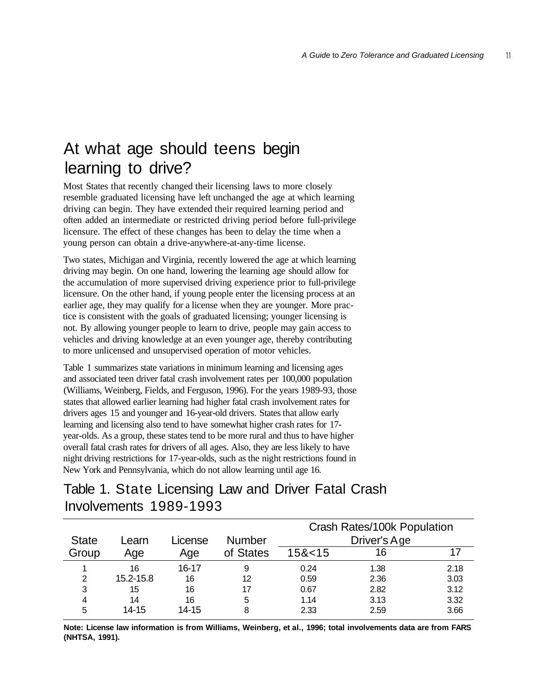# At what age should teens begin learning to drive?

Most States that recently changed their licensing laws to more closely resemble graduated licensing have left unchanged the age at which learning driving can begin. They have extended their required learning period and often added an intermediate or restricted driving period before full-privilege licensure. The effect of these changes has been to delay the time when a young person can obtain a drive-anywhere-at-any-time license.

Two states, Michigan and Virginia, recently lowered the age at which learning driving may begin. On one hand, lowering the learning age should allow for the accumulation of more supervised driving experience prior to full-privilege licensure. On the other hand, if young people enter the licensing process at an earlier age, they may qualify for a license when they are younger. More practice is consistent with the goals of graduated licensing; younger licensing is not. By allowing younger people to learn to drive, people may gain access to vehicles and driving knowledge at an even younger age, thereby contributing to more unlicensed and unsupervised operation of motor vehicles.

Table 1 summarizes state variations in minimum learning and licensing ages and associated teen driver fatal crash involvement rates per 100,000 population (Williams, Weinberg, Fields, and Ferguson, 1996). For the years 1989-93, those states that allowed earlier learning had higher fatal crash involvement rates for drivers ages 15 and younger and 16-year-old drivers. States that allow early learning and licensing also tend to have somewhat higher crash rates for 17 year-olds. As a group, these states tend to be more rural and thus to have higher overall fatal crash rates for drivers of all ages. Also, they are less likely to have night driving restrictions for 17-year-olds, such as the night restrictions found in New York and Pennsylvania, which do not allow learning until age 16.

#### Table 1. State Licensing Law and Driver Fatal Crash Involvements 1989-1993

|              |           |         |               | Crash Rates/100k Population<br>Driver's Age |      |      |
|--------------|-----------|---------|---------------|---------------------------------------------|------|------|
| <b>State</b> | Learn     | License | <b>Number</b> |                                             |      |      |
| Group        | Age       | Age     | of States     | 15<15                                       | 16   |      |
|              | 16        | 16-17   | 9             | 0.24                                        | 1.38 | 2.18 |
| 2            | 15.2-15.8 | 16      | 12            | 0.59                                        | 2.36 | 3.03 |
| 3            | 15        | 16      | 17            | 0.67                                        | 2.82 | 3.12 |
| 4            | 14        | 16      | 5             | 1.14                                        | 3.13 | 3.32 |
| 5            | 14-15     | 14-15   | 8             | 2.33                                        | 2.59 | 3.66 |

**Note: License law information is from Williams, Weinberg, et al., 1996; total involvements data are from FARS (NHTSA, 1991).**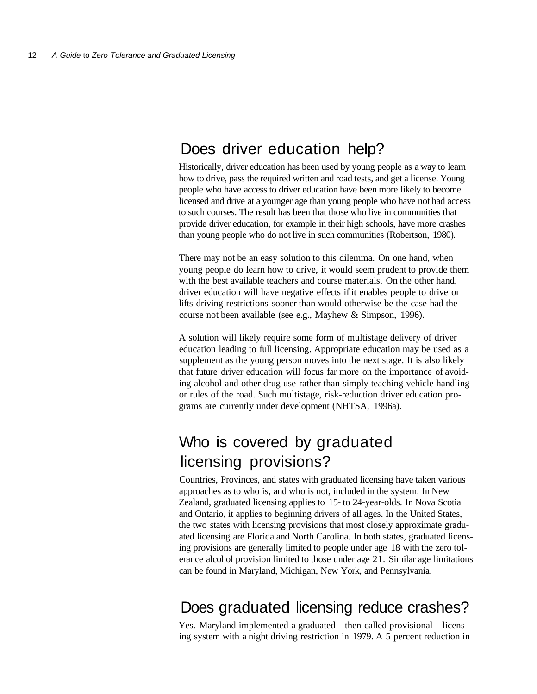### Does driver education help?

Historically, driver education has been used by young people as a way to learn how to drive, pass the required written and road tests, and get a license. Young people who have access to driver education have been more likely to become licensed and drive at a younger age than young people who have not had access to such courses. The result has been that those who live in communities that provide driver education, for example in their high schools, have more crashes than young people who do not live in such communities (Robertson, 1980).

There may not be an easy solution to this dilemma. On one hand, when young people do learn how to drive, it would seem prudent to provide them with the best available teachers and course materials. On the other hand, driver education will have negative effects if it enables people to drive or lifts driving restrictions sooner than would otherwise be the case had the course not been available (see e.g., Mayhew & Simpson, 1996).

A solution will likely require some form of multistage delivery of driver education leading to full licensing. Appropriate education may be used as a supplement as the young person moves into the next stage. It is also likely that future driver education will focus far more on the importance of avoiding alcohol and other drug use rather than simply teaching vehicle handling or rules of the road. Such multistage, risk-reduction driver education programs are currently under development (NHTSA, 1996a).

### Who is covered by graduated licensing provisions?

Countries, Provinces, and states with graduated licensing have taken various approaches as to who is, and who is not, included in the system. In New Zealand, graduated licensing applies to 15- to 24-year-olds. In Nova Scotia and Ontario, it applies to beginning drivers of all ages. In the United States, the two states with licensing provisions that most closely approximate graduated licensing are Florida and North Carolina. In both states, graduated licensing provisions are generally limited to people under age 18 with the zero tolerance alcohol provision limited to those under age 21. Similar age limitations can be found in Maryland, Michigan, New York, and Pennsylvania.

#### Does graduated licensing reduce crashes?

Yes. Maryland implemented a graduated—then called provisional—licensing system with a night driving restriction in 1979. A 5 percent reduction in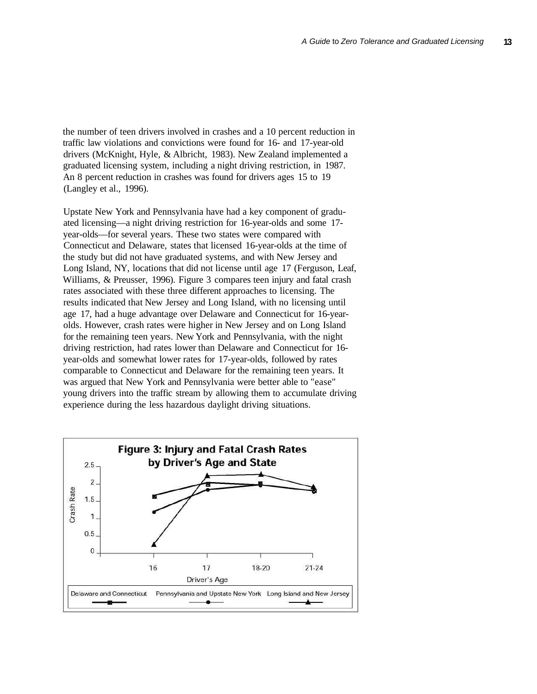the number of teen drivers involved in crashes and a 10 percent reduction in traffic law violations and convictions were found for 16- and 17-year-old drivers (McKnight, Hyle, & Albricht, 1983). New Zealand implemented a graduated licensing system, including a night driving restriction, in 1987. An 8 percent reduction in crashes was found for drivers ages 15 to 19 (Langley et al., 1996).

Upstate New York and Pennsylvania have had a key component of graduated licensing—a night driving restriction for 16-year-olds and some 17 year-olds—for several years. These two states were compared with Connecticut and Delaware, states that licensed 16-year-olds at the time of the study but did not have graduated systems, and with New Jersey and Long Island, NY, locations that did not license until age 17 (Ferguson, Leaf, Williams, & Preusser, 1996). Figure 3 compares teen injury and fatal crash rates associated with these three different approaches to licensing. The results indicated that New Jersey and Long Island, with no licensing until age 17, had a huge advantage over Delaware and Connecticut for 16-yearolds. However, crash rates were higher in New Jersey and on Long Island for the remaining teen years. New York and Pennsylvania, with the night driving restriction, had rates lower than Delaware and Connecticut for 16 year-olds and somewhat lower rates for 17-year-olds, followed by rates comparable to Connecticut and Delaware for the remaining teen years. It was argued that New York and Pennsylvania were better able to "ease" young drivers into the traffic stream by allowing them to accumulate driving experience during the less hazardous daylight driving situations.

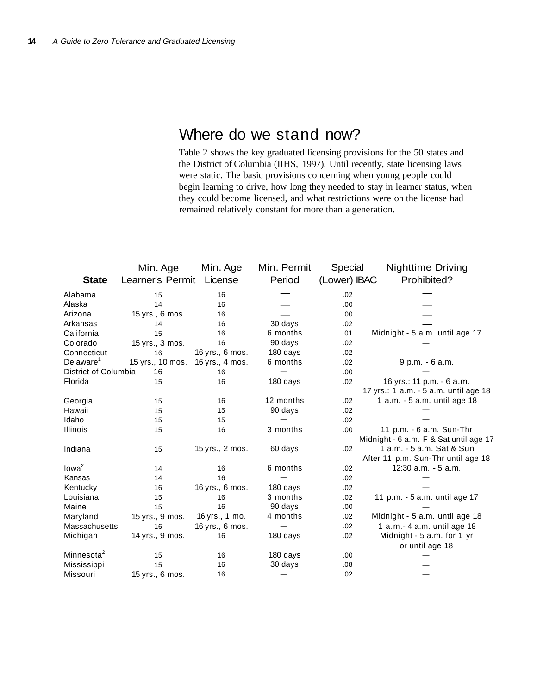#### Where do we stand now?

Table 2 shows the key graduated licensing provisions for the 50 states and the District of Columbia (IIHS, 1997). Until recently, state licensing laws were static. The basic provisions concerning when young people could begin learning to drive, how long they needed to stay in learner status, when they could become licensed, and what restrictions were on the license had remained relatively constant for more than a generation.

|                        | Min. Age         | Min. Age        | Min. Permit | Special      | <b>Nighttime Driving</b>               |
|------------------------|------------------|-----------------|-------------|--------------|----------------------------------------|
| <b>State</b>           | Learner's Permit | License         | Period      | (Lower) IBAC | Prohibited?                            |
| Alabama                | 15               | 16              |             | .02          |                                        |
| Alaska                 | 14               | 16              |             | .00          |                                        |
| Arizona                | 15 yrs., 6 mos.  | 16              |             | .00.         |                                        |
| Arkansas               | 14               | 16              | 30 days     | .02          |                                        |
| California             | 15               | 16              | 6 months    | .01          | Midnight - 5 a.m. until age 17         |
| Colorado               | 15 yrs., 3 mos.  | 16              | 90 days     | .02          |                                        |
| Connecticut            | 16               | 16 yrs., 6 mos. | 180 days    | .02          |                                        |
| Delaware <sup>1</sup>  | 15 yrs., 10 mos. | 16 yrs., 4 mos. | 6 months    | .02          | 9 p.m. - 6 a.m.                        |
| District of Columbia   | 16               | 16              |             | .00.         |                                        |
| Florida                | 15               | 16              | 180 days    | .02          | 16 yrs.: 11 p.m. - 6 a.m.              |
|                        |                  |                 |             |              | 17 yrs.: 1 a.m. - 5 a.m. until age 18  |
| Georgia                | 15               | 16              | 12 months   | .02          | 1 a.m. - 5 a.m. until age 18           |
| Hawaii                 | 15               | 15              | 90 days     | .02          |                                        |
| Idaho                  | 15               | 15              |             | .02          |                                        |
| <b>Illinois</b>        | 15               | 16              | 3 months    | .00.         | 11 p.m. - 6 a.m. Sun-Thr               |
|                        |                  |                 |             |              | Midnight - 6 a.m. F & Sat until age 17 |
| Indiana                | 15               | 15 yrs., 2 mos. | 60 days     | .02          | 1 a.m. - 5 a.m. Sat & Sun              |
|                        |                  |                 |             |              | After 11 p.m. Sun-Thr until age 18     |
| Iowa <sup>2</sup>      | 14               | 16              | 6 months    | .02          | 12:30 a.m. - 5 a.m.                    |
| Kansas                 | 14               | 16              |             | .02          |                                        |
| Kentucky               | 16               | 16 yrs., 6 mos. | 180 days    | .02          |                                        |
| Louisiana              | 15               | 16              | 3 months    | .02          | 11 p.m. - 5 a.m. until age 17          |
| Maine                  | 15               | 16              | 90 days     | .00.         |                                        |
| Maryland               | 15 yrs., 9 mos.  | 16 yrs., 1 mo.  | 4 months    | .02          | Midnight - 5 a.m. until age 18         |
| Massachusetts          | 16               | 16 yrs., 6 mos. |             | .02          | 1 a.m. - 4 a.m. until age 18           |
| Michigan               | 14 yrs., 9 mos.  | 16              | 180 days    | .02          | Midnight - 5 a.m. for 1 yr             |
|                        |                  |                 |             |              | or until age 18                        |
| Minnesota <sup>2</sup> | 15               | 16              | 180 days    | .00.         |                                        |
| Mississippi            | 15               | 16              | 30 days     | .08          |                                        |
| Missouri               | 15 yrs., 6 mos.  | 16              |             | .02          |                                        |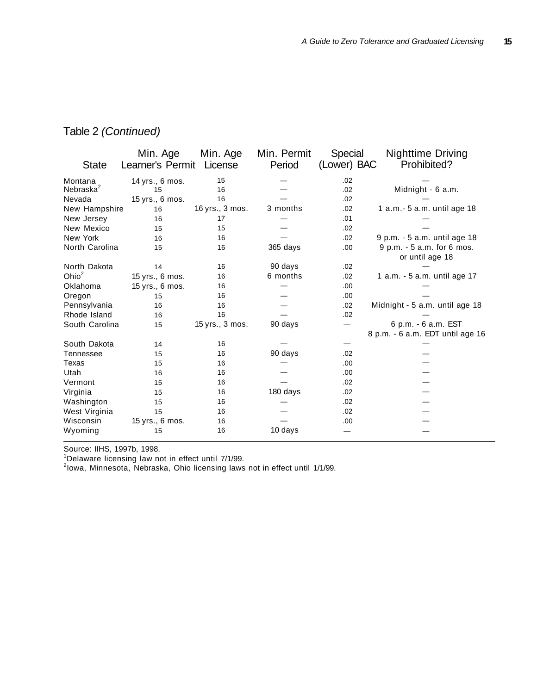#### Table 2 (Continued)

|                       | Min. Age         | Min. Age        | Min. Permit | Special     | <b>Nighttime Driving</b>                                |
|-----------------------|------------------|-----------------|-------------|-------------|---------------------------------------------------------|
| <b>State</b>          | Learner's Permit | License         | Period      | (Lower) BAC | Prohibited?                                             |
| Montana               | 14 yrs., 6 mos.  | 15              |             | .02         |                                                         |
| Nebraska <sup>2</sup> | 15               | 16              |             | .02         | Midnight - 6 a.m.                                       |
| Nevada                | 15 yrs., 6 mos.  | 16              |             | .02         |                                                         |
| New Hampshire         | 16               | 16 yrs., 3 mos. | 3 months    | .02         | 1 a.m.- 5 a.m. until age 18                             |
| New Jersey            | 16               | 17              |             | .01         |                                                         |
| New Mexico            | 15               | 15              |             | .02         |                                                         |
| New York              | 16               | 16              |             | .02         | 9 p.m. - 5 a.m. until age 18                            |
| North Carolina        | 15               | 16              | 365 days    | .00.        | 9 p.m. - 5 a.m. for 6 mos.<br>or until age 18           |
| North Dakota          | 14               | 16              | 90 days     | .02         |                                                         |
| Ohio $^2$             | 15 yrs., 6 mos.  | 16              | 6 months    | .02         | 1 a.m. - 5 a.m. until age 17                            |
| Oklahoma              | 15 yrs., 6 mos.  | 16              |             | .00.        |                                                         |
| Oregon                | 15               | 16              |             | .00.        |                                                         |
| Pennsylvania          | 16               | 16              |             | .02         | Midnight - 5 a.m. until age 18                          |
| Rhode Island          | 16               | 16              |             | .02         |                                                         |
| South Carolina        | 15               | 15 yrs., 3 mos. | 90 days     |             | 6 p.m. - 6 a.m. EST<br>8 p.m. - 6 a.m. EDT until age 16 |
| South Dakota          | 14               | 16              |             |             |                                                         |
| Tennessee             | 15               | 16              | 90 days     | .02         |                                                         |
| Texas                 | 15               | 16              |             | .00.        |                                                         |
| Utah                  | 16               | 16              |             | .00.        |                                                         |
| Vermont               | 15               | 16              |             | .02         |                                                         |
| Virginia              | 15               | 16              | 180 days    | .02         |                                                         |
| Washington            | 15               | 16              |             | .02         |                                                         |
| West Virginia         | 15               | 16              |             | .02         |                                                         |
| Wisconsin             | 15 yrs., 6 mos.  | 16              |             | .00.        |                                                         |
| Wyoming               | 15               | 16              | 10 days     |             |                                                         |

Source: IIHS, 1997b, 1998.

<sup>1</sup>Delaware licensing law not in effect until 7/1/99.<br><sup>2</sup>lowa, Minnesota, Nebraska, Ohio licensing laws not in effect until 1/1/99.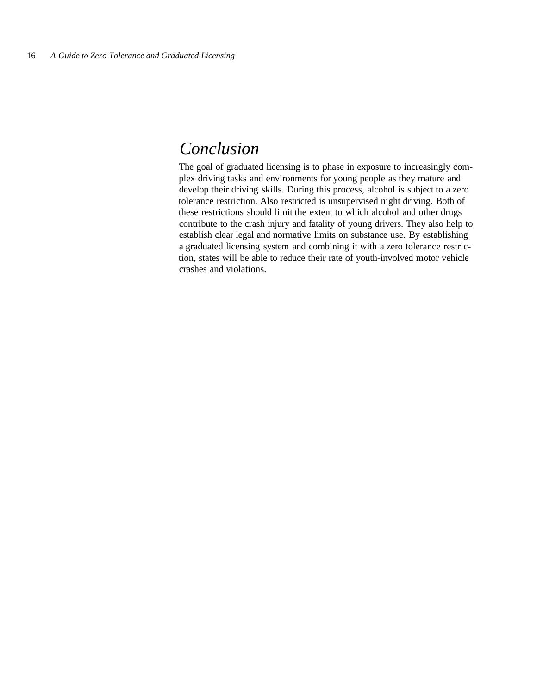#### *Conclusion*

The goal of graduated licensing is to phase in exposure to increasingly complex driving tasks and environments for young people as they mature and develop their driving skills. During this process, alcohol is subject to a zero tolerance restriction. Also restricted is unsupervised night driving. Both of these restrictions should limit the extent to which alcohol and other drugs contribute to the crash injury and fatality of young drivers. They also help to establish clear legal and normative limits on substance use. By establishing a graduated licensing system and combining it with a zero tolerance restriction, states will be able to reduce their rate of youth-involved motor vehicle crashes and violations.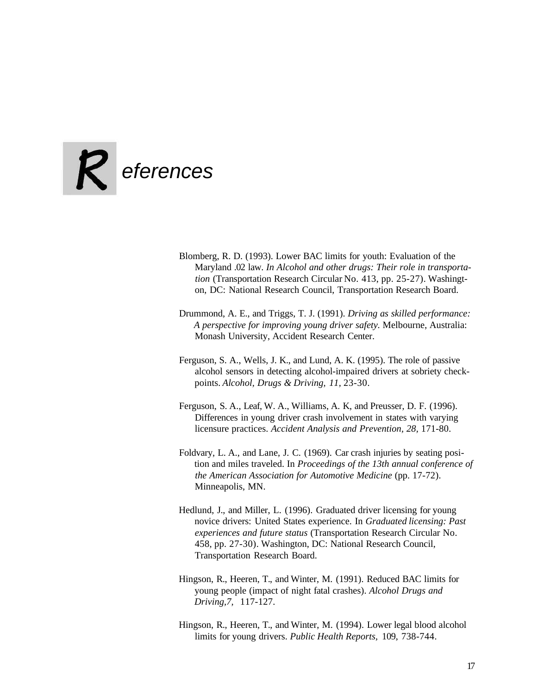

- Blomberg, R. D. (1993). Lower BAC limits for youth: Evaluation of the Maryland .02 law. *In Alcohol and other drugs: Their role in transportation* (Transportation Research Circular No. 413, pp. 25-27). Washington, DC: National Research Council, Transportation Research Board.
- Drummond, A. E., and Triggs, T. J. (1991). *Driving as skilled performance: A perspective for improving young driver safety.* Melbourne, Australia: Monash University, Accident Research Center.
- Ferguson, S. A., Wells, J. K., and Lund, A. K. (1995). The role of passive alcohol sensors in detecting alcohol-impaired drivers at sobriety checkpoints. *Alcohol, Drugs & Driving, 11,* 23-30.
- Ferguson, S. A., Leaf, W. A., Williams, A. K, and Preusser, D. F. (1996). Differences in young driver crash involvement in states with varying licensure practices. *Accident Analysis and Prevention, 28,* 171-80.
- Foldvary, L. A., and Lane, J. C. (1969). Car crash injuries by seating position and miles traveled. In *Proceedings of the 13th annual conference of the American Association for Automotive Medicine* (pp. 17-72). Minneapolis, MN.
- Hedlund, J., and Miller, L. (1996). Graduated driver licensing for young novice drivers: United States experience. In *Graduated licensing: Past experiences and future status* (Transportation Research Circular No. 458, pp. 27-30). Washington, DC: National Research Council, Transportation Research Board.
- Hingson, R., Heeren, T., and Winter, M. (1991). Reduced BAC limits for young people (impact of night fatal crashes). *Alcohol Drugs and Driving,7,* 117-127.
- Hingson, R., Heeren, T., and Winter, M. (1994). Lower legal blood alcohol limits for young drivers. *Public Health Reports,* 109, 738-744.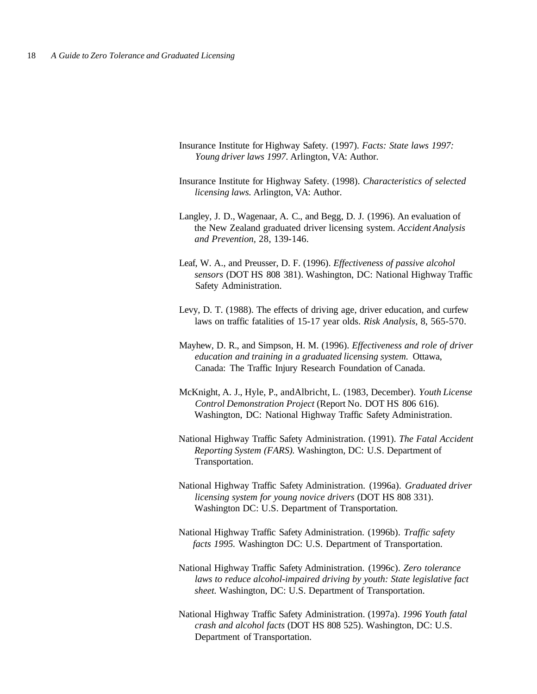- Insurance Institute for Highway Safety. (1997). *Facts: State laws 1997: Young driver laws 1997.* Arlington, VA: Author.
- Insurance Institute for Highway Safety. (1998). *Characteristics of selected licensing laws.* Arlington, VA: Author.
- Langley, J. D., Wagenaar, A. C., and Begg, D. J. (1996). An evaluation of the New Zealand graduated driver licensing system. *Accident Analysis and Prevention,* 28, 139-146.
- Leaf, W. A., and Preusser, D. F. (1996). *Effectiveness of passive alcohol sensors* (DOT HS 808 381). Washington, DC: National Highway Traffic Safety Administration.
- Levy, D. T. (1988). The effects of driving age, driver education, and curfew laws on traffic fatalities of 15-17 year olds. *Risk Analysis,* 8, 565-570.
- Mayhew, D. R., and Simpson, H. M. (1996). *Effectiveness and role of driver education and training in a graduated licensing system.* Ottawa, Canada: The Traffic Injury Research Foundation of Canada.
- McKnight, A. J., Hyle, P., andAlbricht, L. (1983, December). *Youth License Control Demonstration Project* (Report No. DOT HS 806 616). Washington, DC: National Highway Traffic Safety Administration.
- National Highway Traffic Safety Administration. (1991). *The Fatal Accident Reporting System (FARS).* Washington, DC: U.S. Department of Transportation.
- National Highway Traffic Safety Administration. (1996a). *Graduated driver licensing system for young novice drivers* (DOT HS 808 331). Washington DC: U.S. Department of Transportation.
- National Highway Traffic Safety Administration. (1996b). *Traffic safety facts 1995.* Washington DC: U.S. Department of Transportation.
- National Highway Traffic Safety Administration. (1996c). *Zero tolerance laws to reduce alcohol-impaired driving by youth: State legislative fact sheet.* Washington, DC: U.S. Department of Transportation.
- National Highway Traffic Safety Administration. (1997a). *1996 Youth fatal crash and alcohol facts* (DOT HS 808 525). Washington, DC: U.S. Department of Transportation.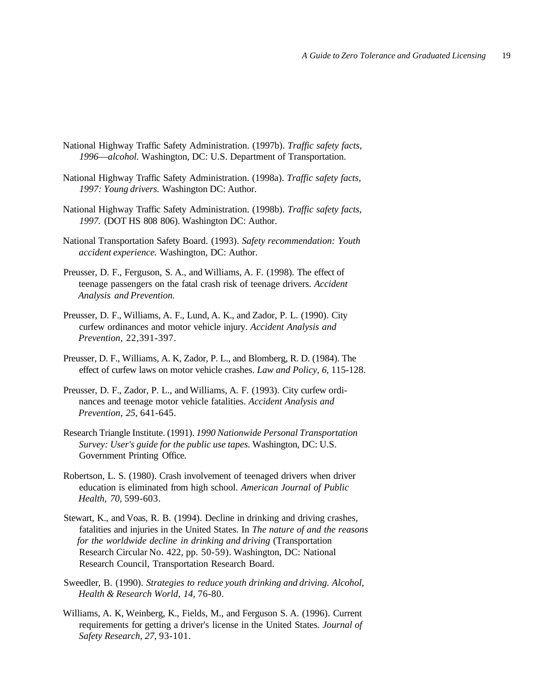- National Highway Traffic Safety Administration. (1997b). *Traffic safety facts, 1996*—*alcohol.* Washington, DC: U.S. Department of Transportation.
- National Highway Traffic Safety Administration. (1998a). *Traffic safety facts, 1997: Young drivers.* Washington DC: Author.
- National Highway Traffic Safety Administration. (1998b). *Traffic safety facts, 1997.* (DOT HS 808 806). Washington DC: Author.
- National Transportation Safety Board. (1993). *Safety recommendation: Youth accident experience.* Washington, DC: Author.
- Preusser, D. F., Ferguson, S. A., and Williams, A. F. (1998). The effect of teenage passengers on the fatal crash risk of teenage drivers. *Accident Analysis and Prevention.*
- Preusser, D. F., Williams, A. F., Lund, A. K., and Zador, P. L. (1990). City curfew ordinances and motor vehicle injury. *Accident Analysis and Prevention,* 22,391-397.
- Preusser, D. F., Williams, A. K, Zador, P. L., and Blomberg, R. D. (1984). The effect of curfew laws on motor vehicle crashes. *Law and Policy, 6,* 115-128.
- Preusser, D. F., Zador, P. L., and Williams, A. F. (1993). City curfew ordinances and teenage motor vehicle fatalities. *Accident Analysis and Prevention, 25,* 641-645.
- Research Triangle Institute. (1991). *1990 Nationwide Personal Transportation Survey: User's guide for the public use tapes.* Washington, DC: U.S. Government Printing Office.
- Robertson, L. S. (1980). Crash involvement of teenaged drivers when driver education is eliminated from high school. *American Journal of Public Health, 70,* 599-603.
- Stewart, K., and Voas, R. B. (1994). Decline in drinking and driving crashes, fatalities and injuries in the United States. In *The nature of and the reasons for the worldwide decline in drinking and driving* (Transportation Research Circular No. 422, pp. 50-59). Washington, DC: National Research Council, Transportation Research Board.
- Sweedler, B. (1990). *Strategies to reduce youth drinking and driving. Alcohol, Health & Research World, 14,* 76-80.
- Williams, A. K, Weinberg, K., Fields, M., and Ferguson S. A. (1996). Current requirements for getting a driver's license in the United States. *Journal of Safety Research, 27,* 93-101.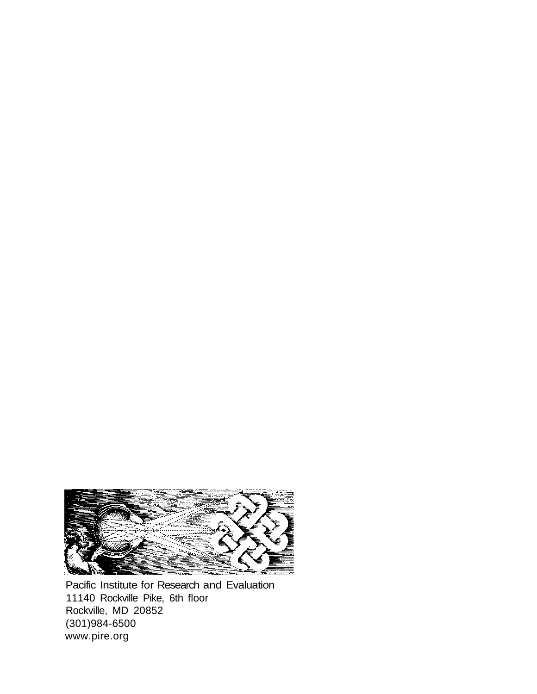

Pacific Institute for Research and Evaluation 11140 Rockville Pike, 6th floor Rockville, MD 20852 (301)984-6500 www.pire.org